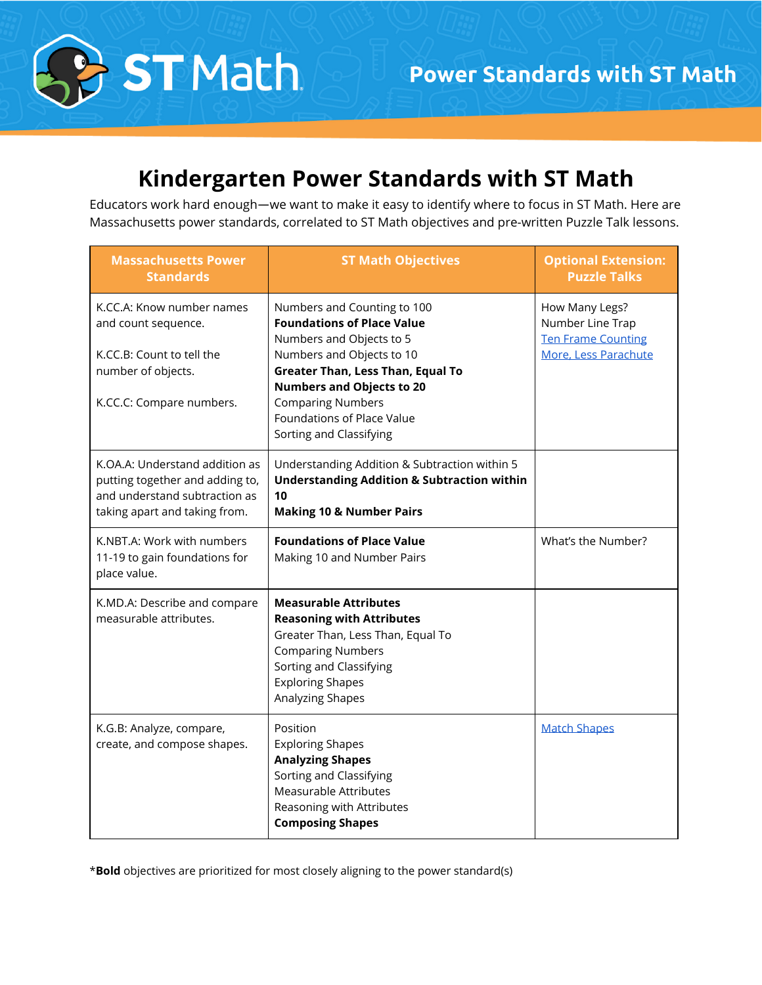

# **Kindergarten Power Standards with ST Math**

Educators work hard enough—we want to make it easy to identify where to focus in ST Math. Here are Massachusetts power standards, correlated to ST Math objectives and pre-written Puzzle Talk lessons.

| <b>Massachusetts Power</b><br><b>Standards</b>                                                                                      | <b>ST Math Objectives</b>                                                                                                                                                                                                                                                                      | <b>Optional Extension:</b><br><b>Puzzle Talks</b>                                       |
|-------------------------------------------------------------------------------------------------------------------------------------|------------------------------------------------------------------------------------------------------------------------------------------------------------------------------------------------------------------------------------------------------------------------------------------------|-----------------------------------------------------------------------------------------|
| K.CC.A: Know number names<br>and count sequence.<br>K.CC.B: Count to tell the<br>number of objects.<br>K.CC.C: Compare numbers.     | Numbers and Counting to 100<br><b>Foundations of Place Value</b><br>Numbers and Objects to 5<br>Numbers and Objects to 10<br><b>Greater Than, Less Than, Equal To</b><br><b>Numbers and Objects to 20</b><br><b>Comparing Numbers</b><br>Foundations of Place Value<br>Sorting and Classifying | How Many Legs?<br>Number Line Trap<br><b>Ten Frame Counting</b><br>More, Less Parachute |
| K.OA.A: Understand addition as<br>putting together and adding to,<br>and understand subtraction as<br>taking apart and taking from. | Understanding Addition & Subtraction within 5<br><b>Understanding Addition &amp; Subtraction within</b><br>10<br><b>Making 10 &amp; Number Pairs</b>                                                                                                                                           |                                                                                         |
| K.NBT.A: Work with numbers<br>11-19 to gain foundations for<br>place value.                                                         | <b>Foundations of Place Value</b><br>Making 10 and Number Pairs                                                                                                                                                                                                                                | What's the Number?                                                                      |
| K.MD.A: Describe and compare<br>measurable attributes.                                                                              | <b>Measurable Attributes</b><br><b>Reasoning with Attributes</b><br>Greater Than, Less Than, Equal To<br><b>Comparing Numbers</b><br>Sorting and Classifying<br><b>Exploring Shapes</b><br>Analyzing Shapes                                                                                    |                                                                                         |
| K.G.B: Analyze, compare,<br>create, and compose shapes.                                                                             | Position<br><b>Exploring Shapes</b><br><b>Analyzing Shapes</b><br>Sorting and Classifying<br>Measurable Attributes<br>Reasoning with Attributes<br><b>Composing Shapes</b>                                                                                                                     | <b>Match Shapes</b>                                                                     |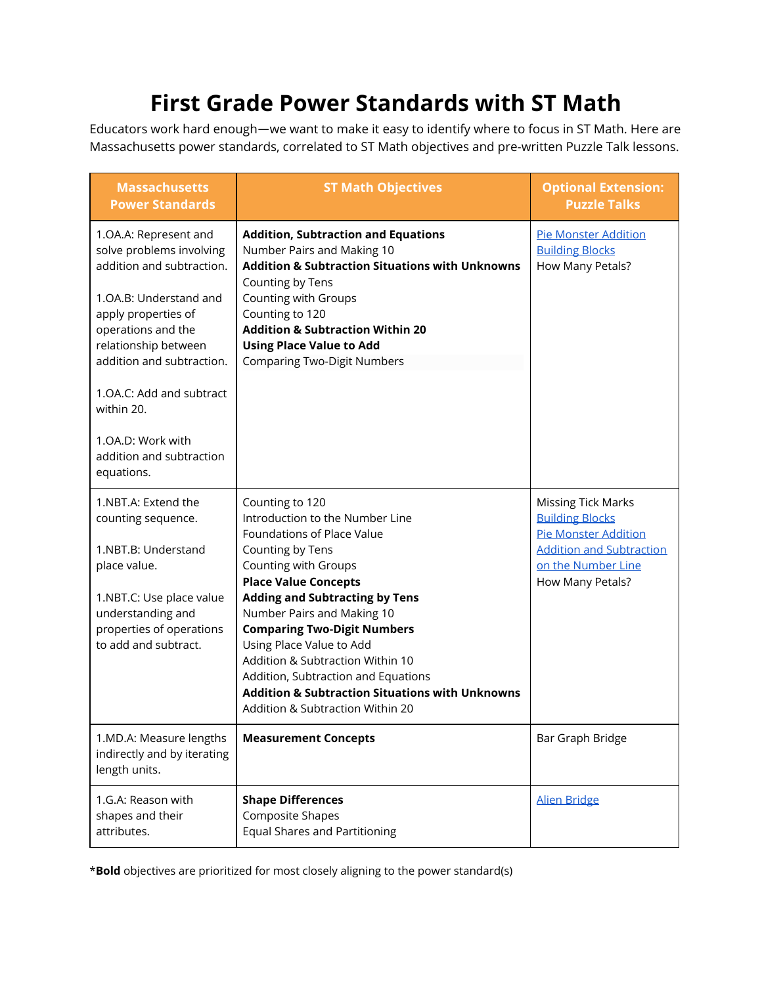# **First Grade Power Standards with ST Math**

Educators work hard enough—we want to make it easy to identify where to focus in ST Math. Here are Massachusetts power standards, correlated to ST Math objectives and pre-written Puzzle Talk lessons.

| <b>Massachusetts</b><br><b>Power Standards</b>                                                                                                                                                                                                                                                                      | <b>ST Math Objectives</b>                                                                                                                                                                                                                                                                                                                                                                                                                                                         | <b>Optional Extension:</b><br><b>Puzzle Talks</b>                                                                                                               |
|---------------------------------------------------------------------------------------------------------------------------------------------------------------------------------------------------------------------------------------------------------------------------------------------------------------------|-----------------------------------------------------------------------------------------------------------------------------------------------------------------------------------------------------------------------------------------------------------------------------------------------------------------------------------------------------------------------------------------------------------------------------------------------------------------------------------|-----------------------------------------------------------------------------------------------------------------------------------------------------------------|
| 1.OA.A: Represent and<br>solve problems involving<br>addition and subtraction.<br>1.OA.B: Understand and<br>apply properties of<br>operations and the<br>relationship between<br>addition and subtraction.<br>1.OA.C: Add and subtract<br>within 20.<br>1.OA.D: Work with<br>addition and subtraction<br>equations. | <b>Addition, Subtraction and Equations</b><br>Number Pairs and Making 10<br><b>Addition &amp; Subtraction Situations with Unknowns</b><br>Counting by Tens<br>Counting with Groups<br>Counting to 120<br><b>Addition &amp; Subtraction Within 20</b><br><b>Using Place Value to Add</b><br><b>Comparing Two-Digit Numbers</b>                                                                                                                                                     | <b>Pie Monster Addition</b><br><b>Building Blocks</b><br>How Many Petals?                                                                                       |
| 1.NBT.A: Extend the<br>counting sequence.<br>1.NBT.B: Understand<br>place value.<br>1.NBT.C: Use place value<br>understanding and<br>properties of operations<br>to add and subtract.                                                                                                                               | Counting to 120<br>Introduction to the Number Line<br>Foundations of Place Value<br>Counting by Tens<br>Counting with Groups<br><b>Place Value Concepts</b><br><b>Adding and Subtracting by Tens</b><br>Number Pairs and Making 10<br><b>Comparing Two-Digit Numbers</b><br>Using Place Value to Add<br>Addition & Subtraction Within 10<br>Addition, Subtraction and Equations<br><b>Addition &amp; Subtraction Situations with Unknowns</b><br>Addition & Subtraction Within 20 | <b>Missing Tick Marks</b><br><b>Building Blocks</b><br><b>Pie Monster Addition</b><br><b>Addition and Subtraction</b><br>on the Number Line<br>How Many Petals? |
| 1.MD.A: Measure lengths<br>indirectly and by iterating<br>length units.                                                                                                                                                                                                                                             | <b>Measurement Concepts</b>                                                                                                                                                                                                                                                                                                                                                                                                                                                       | Bar Graph Bridge                                                                                                                                                |
| 1.G.A: Reason with<br>shapes and their<br>attributes.                                                                                                                                                                                                                                                               | <b>Shape Differences</b><br>Composite Shapes<br><b>Equal Shares and Partitioning</b>                                                                                                                                                                                                                                                                                                                                                                                              | <b>Alien Bridge</b>                                                                                                                                             |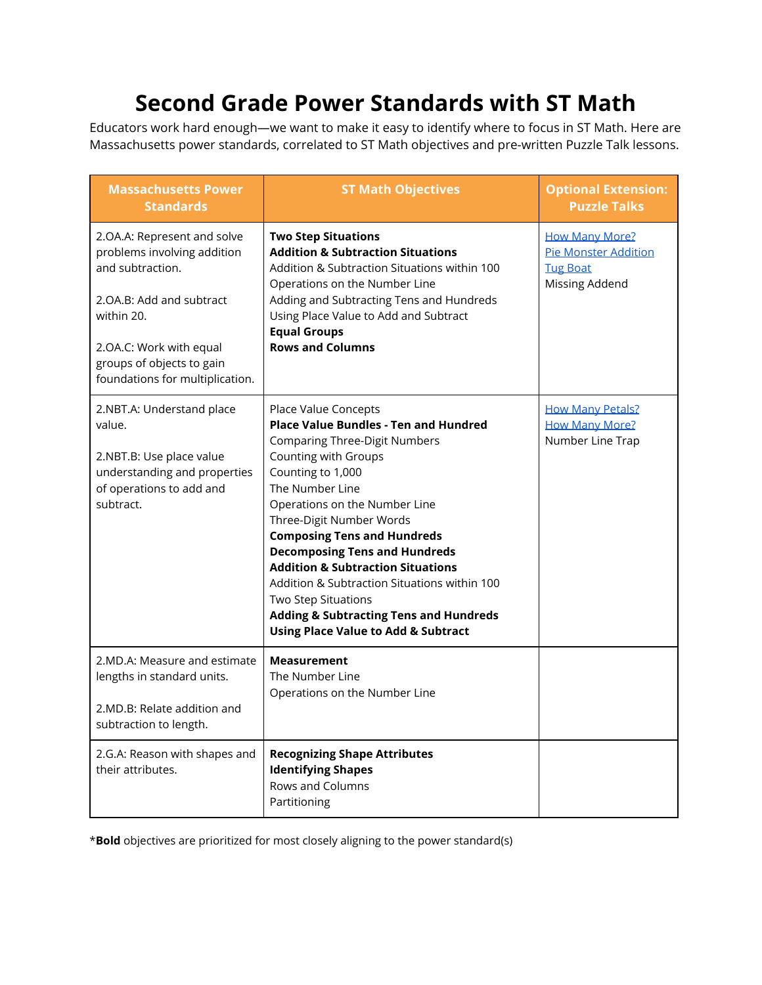# **Second Grade Power Standards with ST Math**

Educators work hard enough—we want to make it easy to identify where to focus in ST Math. Here are Massachusetts power standards, correlated to ST Math objectives and pre-written Puzzle Talk lessons.

| <b>Massachusetts Power</b><br><b>Standards</b>                                                                                                                                                                      | <b>ST Math Objectives</b>                                                                                                                                                                                                                                                                                                                                                                                                                                                                                                                                    | <b>Optional Extension:</b><br><b>Puzzle Talks</b>                                         |
|---------------------------------------------------------------------------------------------------------------------------------------------------------------------------------------------------------------------|--------------------------------------------------------------------------------------------------------------------------------------------------------------------------------------------------------------------------------------------------------------------------------------------------------------------------------------------------------------------------------------------------------------------------------------------------------------------------------------------------------------------------------------------------------------|-------------------------------------------------------------------------------------------|
| 2.OA.A: Represent and solve<br>problems involving addition<br>and subtraction.<br>2.OA.B: Add and subtract<br>within 20.<br>2.OA.C: Work with equal<br>groups of objects to gain<br>foundations for multiplication. | <b>Two Step Situations</b><br><b>Addition &amp; Subtraction Situations</b><br>Addition & Subtraction Situations within 100<br>Operations on the Number Line<br>Adding and Subtracting Tens and Hundreds<br>Using Place Value to Add and Subtract<br><b>Equal Groups</b><br><b>Rows and Columns</b>                                                                                                                                                                                                                                                           | <b>How Many More?</b><br><b>Pie Monster Addition</b><br><b>Tug Boat</b><br>Missing Addend |
| 2.NBT.A: Understand place<br>value.<br>2.NBT.B: Use place value<br>understanding and properties<br>of operations to add and<br>subtract.                                                                            | Place Value Concepts<br><b>Place Value Bundles - Ten and Hundred</b><br><b>Comparing Three-Digit Numbers</b><br>Counting with Groups<br>Counting to 1,000<br>The Number Line<br>Operations on the Number Line<br>Three-Digit Number Words<br><b>Composing Tens and Hundreds</b><br><b>Decomposing Tens and Hundreds</b><br><b>Addition &amp; Subtraction Situations</b><br>Addition & Subtraction Situations within 100<br><b>Two Step Situations</b><br><b>Adding &amp; Subtracting Tens and Hundreds</b><br><b>Using Place Value to Add &amp; Subtract</b> | <b>How Many Petals?</b><br><b>How Many More?</b><br>Number Line Trap                      |
| 2.MD.A: Measure and estimate<br>lengths in standard units.<br>2.MD.B: Relate addition and<br>subtraction to length.                                                                                                 | <b>Measurement</b><br>The Number Line<br>Operations on the Number Line                                                                                                                                                                                                                                                                                                                                                                                                                                                                                       |                                                                                           |
| 2.G.A: Reason with shapes and<br>their attributes.                                                                                                                                                                  | <b>Recognizing Shape Attributes</b><br><b>Identifying Shapes</b><br>Rows and Columns<br>Partitioning                                                                                                                                                                                                                                                                                                                                                                                                                                                         |                                                                                           |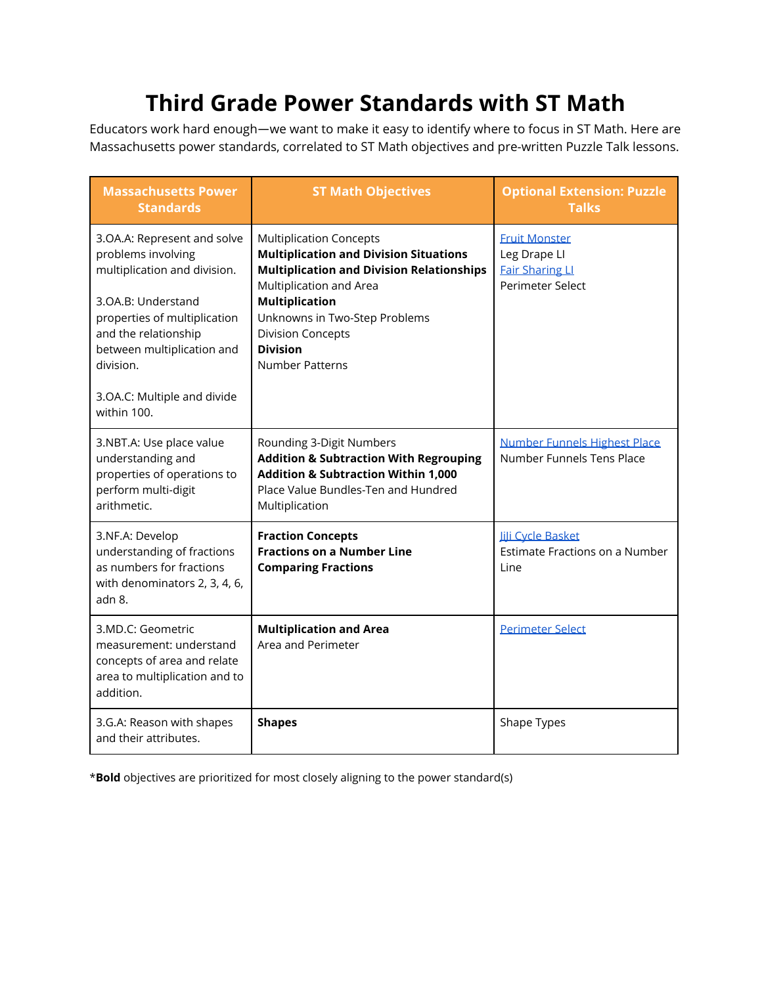# **Third Grade Power Standards with ST Math**

Educators work hard enough—we want to make it easy to identify where to focus in ST Math. Here are Massachusetts power standards, correlated to ST Math objectives and pre-written Puzzle Talk lessons.

| <b>Massachusetts Power</b><br><b>Standards</b>                                                                                                                                                                                                           | <b>ST Math Objectives</b>                                                                                                                                                                                                                                                                         | <b>Optional Extension: Puzzle</b><br><b>Talks</b>                                  |
|----------------------------------------------------------------------------------------------------------------------------------------------------------------------------------------------------------------------------------------------------------|---------------------------------------------------------------------------------------------------------------------------------------------------------------------------------------------------------------------------------------------------------------------------------------------------|------------------------------------------------------------------------------------|
| 3.OA.A: Represent and solve<br>problems involving<br>multiplication and division.<br>3.OA.B: Understand<br>properties of multiplication<br>and the relationship<br>between multiplication and<br>division.<br>3.OA.C: Multiple and divide<br>within 100. | <b>Multiplication Concepts</b><br><b>Multiplication and Division Situations</b><br><b>Multiplication and Division Relationships</b><br>Multiplication and Area<br><b>Multiplication</b><br>Unknowns in Two-Step Problems<br><b>Division Concepts</b><br><b>Division</b><br><b>Number Patterns</b> | <b>Fruit Monster</b><br>Leg Drape LI<br><b>Fair Sharing LI</b><br>Perimeter Select |
| 3.NBT.A: Use place value<br>understanding and<br>properties of operations to<br>perform multi-digit<br>arithmetic.                                                                                                                                       | Rounding 3-Digit Numbers<br><b>Addition &amp; Subtraction With Regrouping</b><br><b>Addition &amp; Subtraction Within 1,000</b><br>Place Value Bundles-Ten and Hundred<br>Multiplication                                                                                                          | Number Funnels Highest Place<br>Number Funnels Tens Place                          |
| 3.NF.A: Develop<br>understanding of fractions<br>as numbers for fractions<br>with denominators 2, 3, 4, 6,<br>adn 8.                                                                                                                                     | <b>Fraction Concepts</b><br><b>Fractions on a Number Line</b><br><b>Comparing Fractions</b>                                                                                                                                                                                                       | <b>Jili Cycle Basket</b><br>Estimate Fractions on a Number<br>l ine                |
| 3.MD.C: Geometric<br>measurement: understand<br>concepts of area and relate<br>area to multiplication and to<br>addition.                                                                                                                                | <b>Multiplication and Area</b><br>Area and Perimeter                                                                                                                                                                                                                                              | <b>Perimeter Select</b>                                                            |
| 3.G.A: Reason with shapes<br>and their attributes.                                                                                                                                                                                                       | <b>Shapes</b>                                                                                                                                                                                                                                                                                     | Shape Types                                                                        |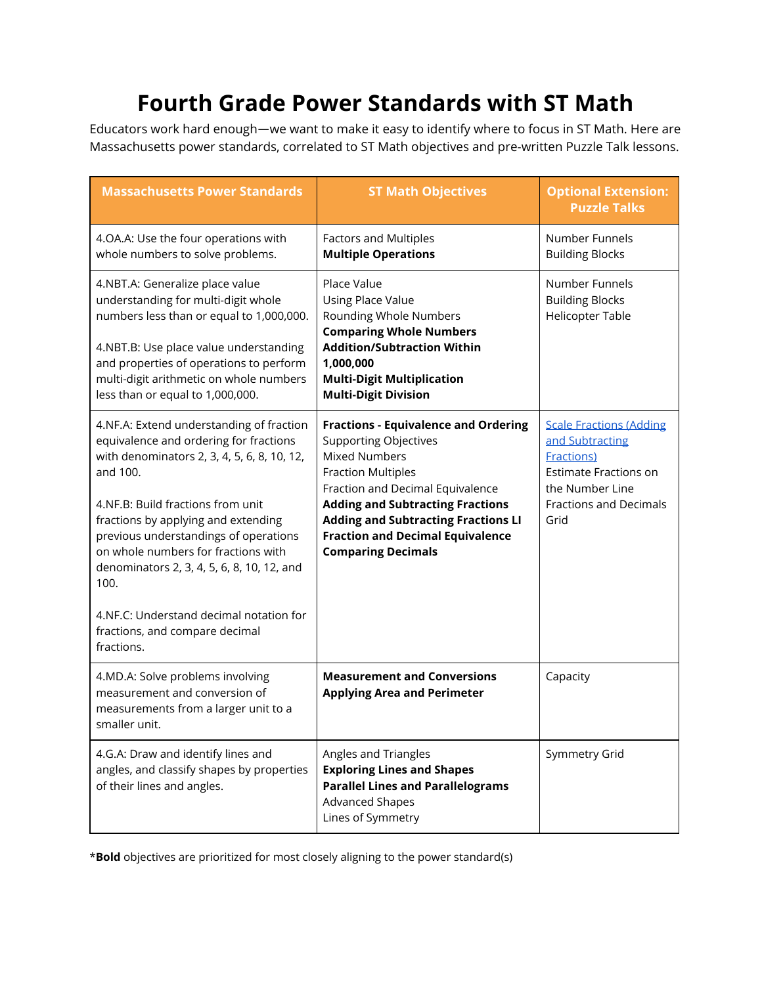# **Fourth Grade Power Standards with ST Math**

Educators work hard enough—we want to make it easy to identify where to focus in ST Math. Here are Massachusetts power standards, correlated to ST Math objectives and pre-written Puzzle Talk lessons.

| <b>Massachusetts Power Standards</b>                                                                                                                                                                                                                                                                                                                                                                                                                       | <b>ST Math Objectives</b>                                                                                                                                                                                                                                                                                                             | <b>Optional Extension:</b><br><b>Puzzle Talks</b>                                                                                                                   |
|------------------------------------------------------------------------------------------------------------------------------------------------------------------------------------------------------------------------------------------------------------------------------------------------------------------------------------------------------------------------------------------------------------------------------------------------------------|---------------------------------------------------------------------------------------------------------------------------------------------------------------------------------------------------------------------------------------------------------------------------------------------------------------------------------------|---------------------------------------------------------------------------------------------------------------------------------------------------------------------|
| 4.OA.A: Use the four operations with<br>whole numbers to solve problems.                                                                                                                                                                                                                                                                                                                                                                                   | <b>Factors and Multiples</b><br><b>Multiple Operations</b>                                                                                                                                                                                                                                                                            | Number Funnels<br><b>Building Blocks</b>                                                                                                                            |
| 4.NBT.A: Generalize place value<br>understanding for multi-digit whole<br>numbers less than or equal to 1,000,000.<br>4.NBT.B: Use place value understanding<br>and properties of operations to perform<br>multi-digit arithmetic on whole numbers<br>less than or equal to 1,000,000.                                                                                                                                                                     | Place Value<br><b>Using Place Value</b><br>Rounding Whole Numbers<br><b>Comparing Whole Numbers</b><br><b>Addition/Subtraction Within</b><br>1,000,000<br><b>Multi-Digit Multiplication</b><br><b>Multi-Digit Division</b>                                                                                                            | Number Funnels<br><b>Building Blocks</b><br><b>Helicopter Table</b>                                                                                                 |
| 4.NF.A: Extend understanding of fraction<br>equivalence and ordering for fractions<br>with denominators 2, 3, 4, 5, 6, 8, 10, 12,<br>and 100.<br>4.NF.B: Build fractions from unit<br>fractions by applying and extending<br>previous understandings of operations<br>on whole numbers for fractions with<br>denominators 2, 3, 4, 5, 6, 8, 10, 12, and<br>100.<br>4.NF.C: Understand decimal notation for<br>fractions, and compare decimal<br>fractions. | <b>Fractions - Equivalence and Ordering</b><br><b>Supporting Objectives</b><br><b>Mixed Numbers</b><br><b>Fraction Multiples</b><br>Fraction and Decimal Equivalence<br><b>Adding and Subtracting Fractions</b><br><b>Adding and Subtracting Fractions LI</b><br><b>Fraction and Decimal Equivalence</b><br><b>Comparing Decimals</b> | <b>Scale Fractions (Adding</b><br>and Subtracting<br><b>Fractions</b> )<br><b>Estimate Fractions on</b><br>the Number Line<br><b>Fractions and Decimals</b><br>Grid |
| 4.MD.A: Solve problems involving<br>measurement and conversion of<br>measurements from a larger unit to a<br>smaller unit.                                                                                                                                                                                                                                                                                                                                 | <b>Measurement and Conversions</b><br><b>Applying Area and Perimeter</b>                                                                                                                                                                                                                                                              | Capacity                                                                                                                                                            |
| 4.G.A: Draw and identify lines and<br>angles, and classify shapes by properties<br>of their lines and angles.                                                                                                                                                                                                                                                                                                                                              | Angles and Triangles<br><b>Exploring Lines and Shapes</b><br><b>Parallel Lines and Parallelograms</b><br><b>Advanced Shapes</b><br>Lines of Symmetry                                                                                                                                                                                  | Symmetry Grid                                                                                                                                                       |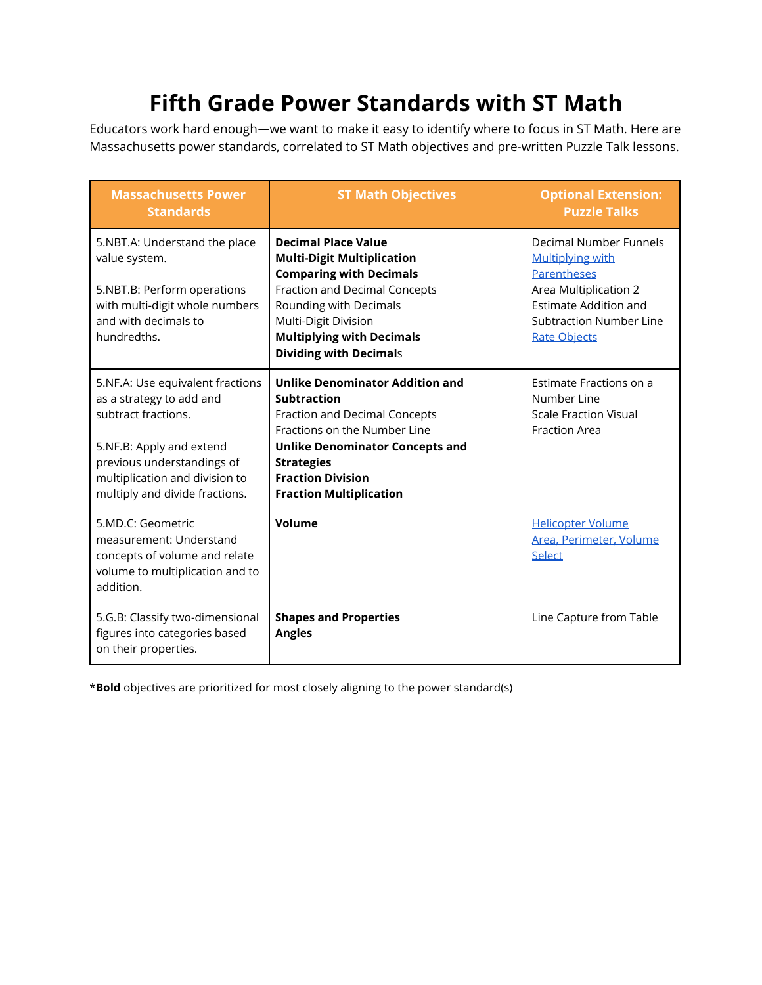# **Fifth Grade Power Standards with ST Math**

Educators work hard enough—we want to make it easy to identify where to focus in ST Math. Here are Massachusetts power standards, correlated to ST Math objectives and pre-written Puzzle Talk lessons.

| <b>Massachusetts Power</b><br><b>Standards</b>                                                                                                                                                                    | <b>ST Math Objectives</b>                                                                                                                                                                                                                                         | <b>Optional Extension:</b><br><b>Puzzle Talks</b>                                                                                                                                         |
|-------------------------------------------------------------------------------------------------------------------------------------------------------------------------------------------------------------------|-------------------------------------------------------------------------------------------------------------------------------------------------------------------------------------------------------------------------------------------------------------------|-------------------------------------------------------------------------------------------------------------------------------------------------------------------------------------------|
| 5.NBT.A: Understand the place<br>value system.<br>5.NBT.B: Perform operations<br>with multi-digit whole numbers<br>and with decimals to<br>hundredths.                                                            | <b>Decimal Place Value</b><br><b>Multi-Digit Multiplication</b><br><b>Comparing with Decimals</b><br><b>Fraction and Decimal Concepts</b><br>Rounding with Decimals<br>Multi-Digit Division<br><b>Multiplying with Decimals</b><br><b>Dividing with Decimals</b>  | Decimal Number Funnels<br><b>Multiplying with</b><br><b>Parentheses</b><br>Area Multiplication 2<br><b>Estimate Addition and</b><br><b>Subtraction Number Line</b><br><b>Rate Objects</b> |
| 5.NF.A: Use equivalent fractions<br>as a strategy to add and<br>subtract fractions.<br>5.NF.B: Apply and extend<br>previous understandings of<br>multiplication and division to<br>multiply and divide fractions. | <b>Unlike Denominator Addition and</b><br><b>Subtraction</b><br><b>Fraction and Decimal Concepts</b><br>Fractions on the Number Line<br><b>Unlike Denominator Concepts and</b><br><b>Strategies</b><br><b>Fraction Division</b><br><b>Fraction Multiplication</b> | Estimate Fractions on a<br>Number Line<br><b>Scale Fraction Visual</b><br><b>Fraction Area</b>                                                                                            |
| 5.MD.C: Geometric<br>measurement: Understand<br>concepts of volume and relate<br>volume to multiplication and to<br>addition.                                                                                     | Volume                                                                                                                                                                                                                                                            | <b>Helicopter Volume</b><br>Area, Perimeter, Volume<br>Select                                                                                                                             |
| 5.G.B: Classify two-dimensional<br>figures into categories based<br>on their properties.                                                                                                                          | <b>Shapes and Properties</b><br><b>Angles</b>                                                                                                                                                                                                                     | Line Capture from Table                                                                                                                                                                   |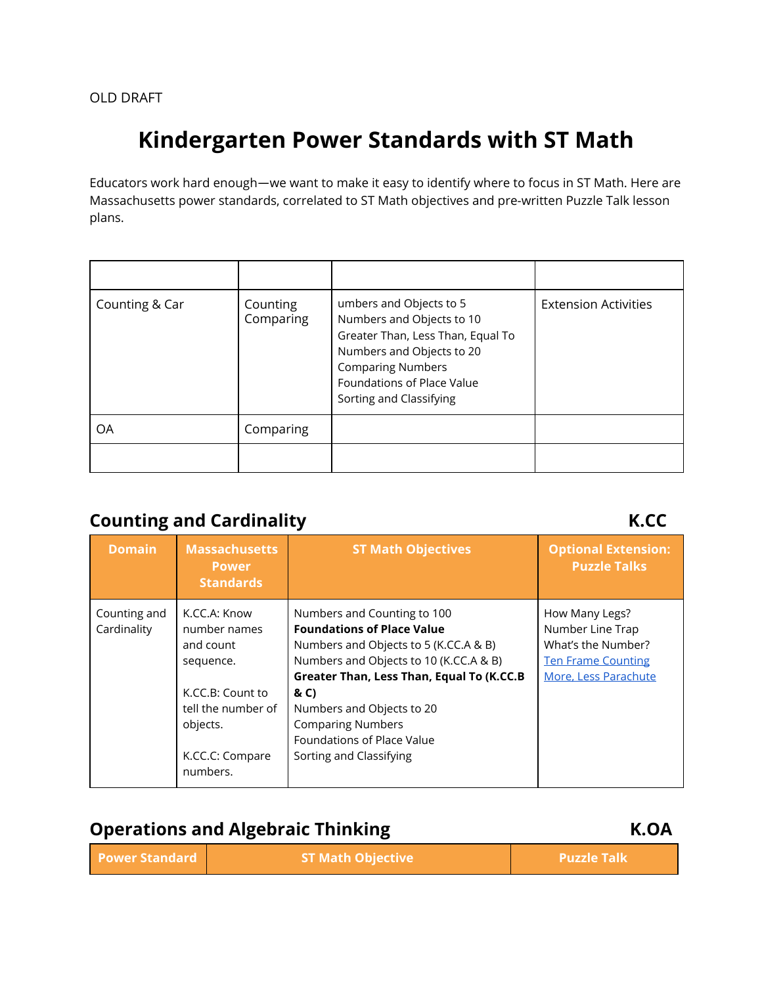# **Kindergarten Power Standards with ST Math**

Educators work hard enough—we want to make it easy to identify where to focus in ST Math. Here are Massachusetts power standards, correlated to ST Math objectives and pre-written Puzzle Talk lesson plans.

| Counting & Car | Counting<br>Comparing | umbers and Objects to 5<br>Numbers and Objects to 10<br>Greater Than, Less Than, Equal To<br>Numbers and Objects to 20<br><b>Comparing Numbers</b><br>Foundations of Place Value<br>Sorting and Classifying | <b>Extension Activities</b> |
|----------------|-----------------------|-------------------------------------------------------------------------------------------------------------------------------------------------------------------------------------------------------------|-----------------------------|
| ΟA             | Comparing             |                                                                                                                                                                                                             |                             |
|                |                       |                                                                                                                                                                                                             |                             |

## **Counting and Cardinality K.CC**

| <b>Domain</b>               | <b>Massachusetts</b><br><b>Power</b><br><b>Standards</b>                                                                                    | <b>ST Math Objectives</b>                                                                                                                                                                                                                                                                                                         | <b>Optional Extension:</b><br><b>Puzzle Talks</b>                                                             |
|-----------------------------|---------------------------------------------------------------------------------------------------------------------------------------------|-----------------------------------------------------------------------------------------------------------------------------------------------------------------------------------------------------------------------------------------------------------------------------------------------------------------------------------|---------------------------------------------------------------------------------------------------------------|
| Counting and<br>Cardinality | K.CC.A: Know<br>number names<br>and count<br>sequence.<br>K.CC.B: Count to<br>tell the number of<br>objects.<br>K.CC.C: Compare<br>numbers. | Numbers and Counting to 100<br><b>Foundations of Place Value</b><br>Numbers and Objects to 5 (K.CC.A & B)<br>Numbers and Objects to 10 (K.CC.A & B)<br>Greater Than, Less Than, Equal To (K.CC.B<br>& C)<br>Numbers and Objects to 20<br><b>Comparing Numbers</b><br><b>Foundations of Place Value</b><br>Sorting and Classifying | How Many Legs?<br>Number Line Trap<br>What's the Number?<br><b>Ten Frame Counting</b><br>More. Less Parachute |

### **Operations and Algebraic Thinking K.OA**

| <b>Power Standard</b> | <b>ST Math Objective</b> | <b>Puzzle Talk</b> |
|-----------------------|--------------------------|--------------------|
|-----------------------|--------------------------|--------------------|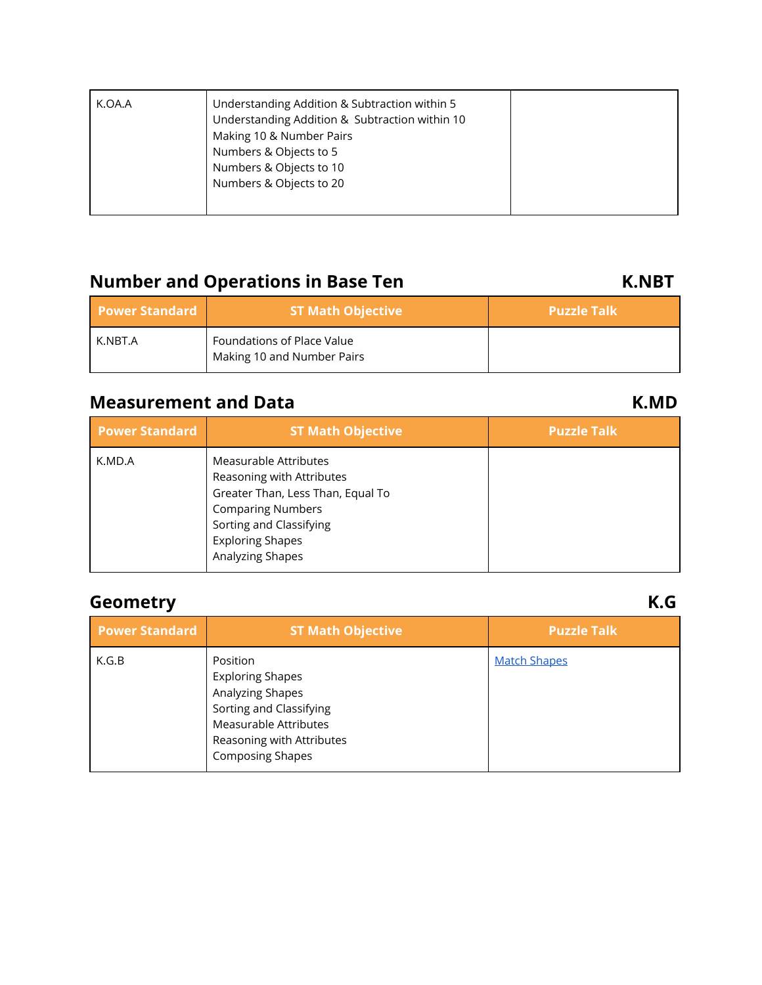| K.OA.A | Understanding Addition & Subtraction within 5<br>Understanding Addition & Subtraction within 10<br>Making 10 & Number Pairs<br>Numbers & Objects to 5<br>Numbers & Objects to 10<br>Numbers & Objects to 20 |  |
|--------|-------------------------------------------------------------------------------------------------------------------------------------------------------------------------------------------------------------|--|
|--------|-------------------------------------------------------------------------------------------------------------------------------------------------------------------------------------------------------------|--|

## **Number and Operations in Base Ten K.NBT**

| <b>Power Standard</b> | <b>ST Math Objective</b>                                 | <b>Puzzle Talk</b> |
|-----------------------|----------------------------------------------------------|--------------------|
| K.NBT.A               | Foundations of Place Value<br>Making 10 and Number Pairs |                    |

### **Measurement and Data K.MD**

| <b>Power Standard</b> | <b>ST Math Objective</b>                                                                                                                                                                      | <b>Puzzle Talk</b> |
|-----------------------|-----------------------------------------------------------------------------------------------------------------------------------------------------------------------------------------------|--------------------|
| K.MD.A                | Measurable Attributes<br>Reasoning with Attributes<br>Greater Than, Less Than, Equal To<br><b>Comparing Numbers</b><br>Sorting and Classifying<br><b>Exploring Shapes</b><br>Analyzing Shapes |                    |

## **Geometry K.G**

| <b>Power Standard</b> | <b>ST Math Objective</b>                                                                                                                                            | <b>Puzzle Talk</b>  |
|-----------------------|---------------------------------------------------------------------------------------------------------------------------------------------------------------------|---------------------|
| K.G.B                 | Position<br><b>Exploring Shapes</b><br>Analyzing Shapes<br>Sorting and Classifying<br>Measurable Attributes<br>Reasoning with Attributes<br><b>Composing Shapes</b> | <b>Match Shapes</b> |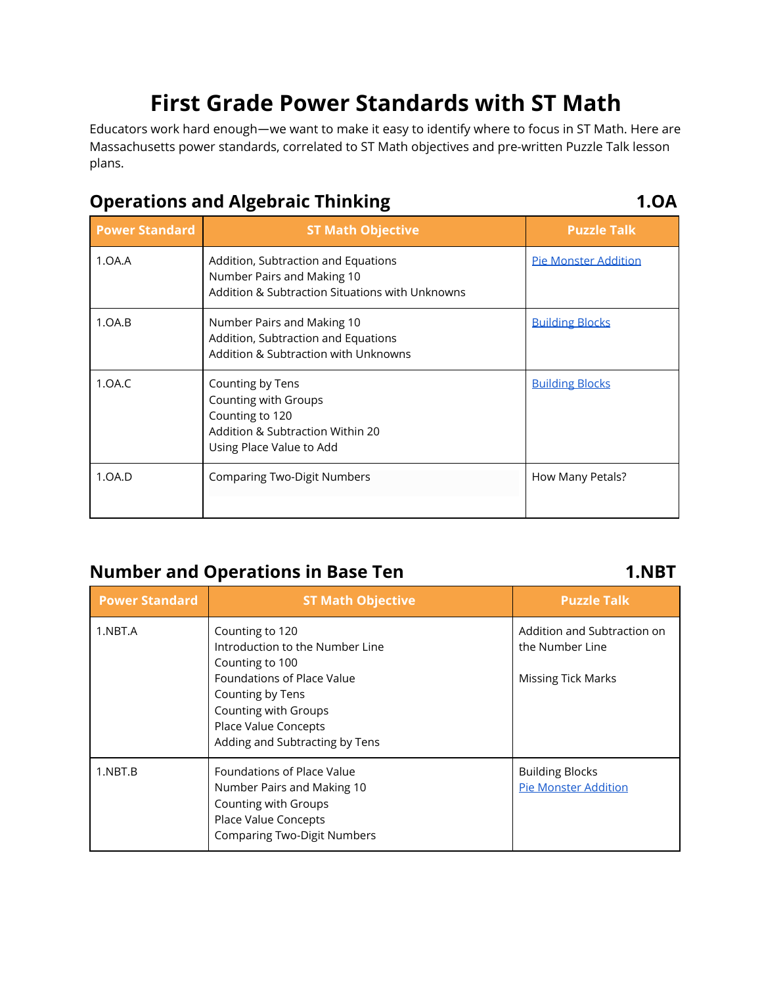# **First Grade Power Standards with ST Math**

Educators work hard enough—we want to make it easy to identify where to focus in ST Math. Here are Massachusetts power standards, correlated to ST Math objectives and pre-written Puzzle Talk lesson plans.

## **Operations and Algebraic Thinking 1.OA**

| <b>Power Standard</b> | <b>ST Math Objective</b>                                                                                                    | <b>Puzzle Talk</b>          |
|-----------------------|-----------------------------------------------------------------------------------------------------------------------------|-----------------------------|
| 1.0A.A                | Addition, Subtraction and Equations<br>Number Pairs and Making 10<br>Addition & Subtraction Situations with Unknowns        | <b>Pie Monster Addition</b> |
| 1.0A.B                | Number Pairs and Making 10<br>Addition, Subtraction and Equations<br>Addition & Subtraction with Unknowns                   | <b>Building Blocks</b>      |
| 1.0A.C                | Counting by Tens<br>Counting with Groups<br>Counting to 120<br>Addition & Subtraction Within 20<br>Using Place Value to Add | <b>Building Blocks</b>      |
| 1.0A.D                | <b>Comparing Two-Digit Numbers</b>                                                                                          | How Many Petals?            |

## **Number and Operations in Base Ten 1.NBT**

| <b>Power Standard</b> | <b>ST Math Objective</b>                                                                                                                       | <b>Puzzle Talk</b>                                    |
|-----------------------|------------------------------------------------------------------------------------------------------------------------------------------------|-------------------------------------------------------|
| 1.NBT.A               | Counting to 120<br>Introduction to the Number Line<br>Counting to 100                                                                          | Addition and Subtraction on<br>the Number Line        |
|                       | Foundations of Place Value<br>Counting by Tens<br>Counting with Groups<br>Place Value Concepts<br>Adding and Subtracting by Tens               | Missing Tick Marks                                    |
| 1.NBT.B               | Foundations of Place Value<br>Number Pairs and Making 10<br>Counting with Groups<br>Place Value Concepts<br><b>Comparing Two-Digit Numbers</b> | <b>Building Blocks</b><br><b>Pie Monster Addition</b> |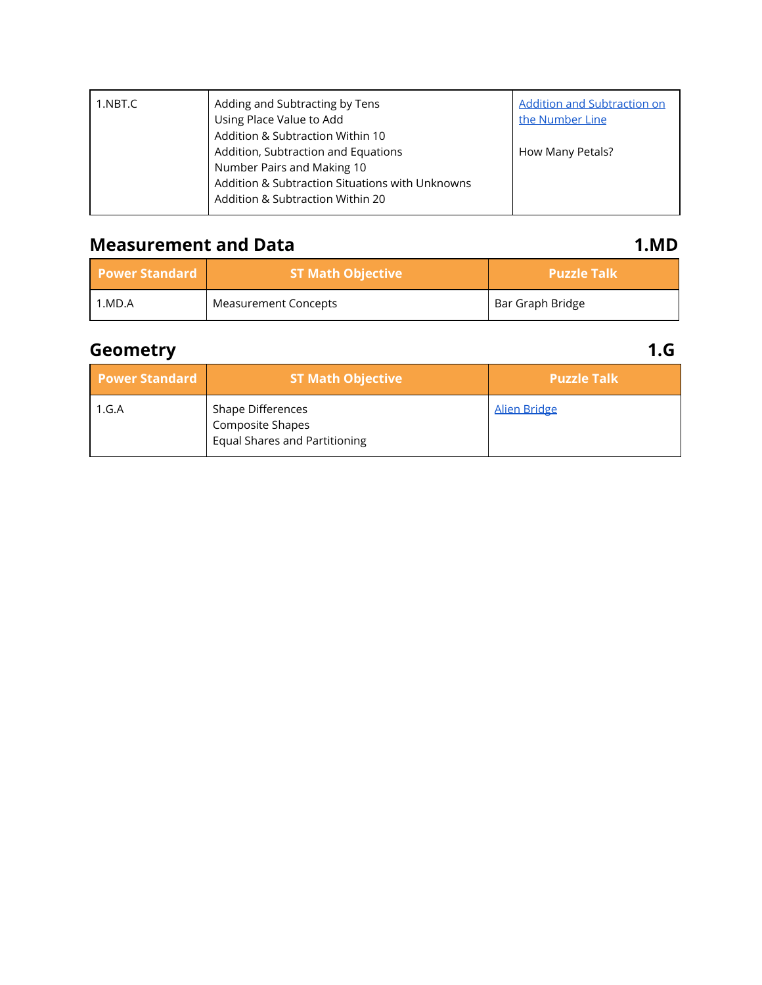| 1.NBT.C | Adding and Subtracting by Tens<br>Using Place Value to Add | <b>Addition and Subtraction on</b><br>the Number Line |
|---------|------------------------------------------------------------|-------------------------------------------------------|
|         | Addition & Subtraction Within 10                           |                                                       |
|         | Addition, Subtraction and Equations                        | How Many Petals?                                      |
|         | Number Pairs and Making 10                                 |                                                       |
|         | Addition & Subtraction Situations with Unknowns            |                                                       |
|         | Addition & Subtraction Within 20                           |                                                       |

## **Measurement and Data 1.MD**

| <b>Power Standard</b> | <b>ST Math Objective</b> | <b>Puzzle Talk</b> |
|-----------------------|--------------------------|--------------------|
| 1.MD.A                | Measurement Concepts     | Bar Graph Bridge   |

## **Geometry 1.G**

| <b>Power Standard</b> | <b>ST Math Objective</b>                                                      | <b>Puzzle Talk</b>  |
|-----------------------|-------------------------------------------------------------------------------|---------------------|
| 1.G.A                 | Shape Differences<br>Composite Shapes<br><b>Equal Shares and Partitioning</b> | <b>Alien Bridge</b> |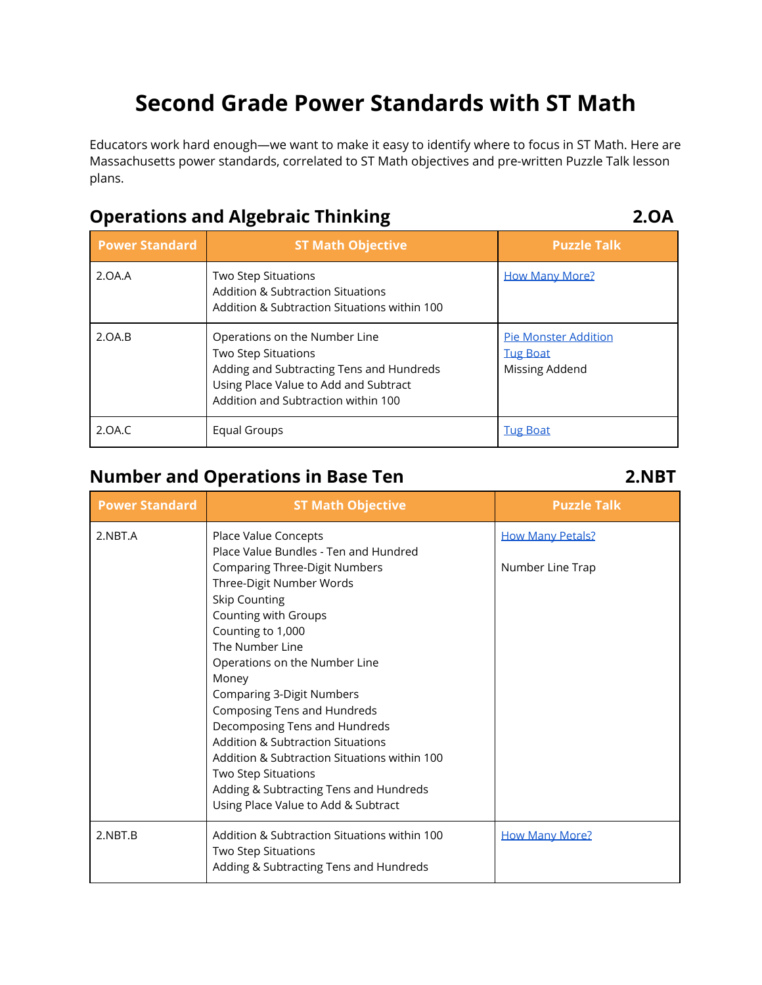# **Second Grade Power Standards with ST Math**

Educators work hard enough—we want to make it easy to identify where to focus in ST Math. Here are Massachusetts power standards, correlated to ST Math objectives and pre-written Puzzle Talk lesson plans.

### **Operations and Algebraic Thinking 2.OA**

| <b>Power Standard</b> | <b>ST Math Objective</b>                                                                                                                                                         | <b>Puzzle Talk</b>                                               |
|-----------------------|----------------------------------------------------------------------------------------------------------------------------------------------------------------------------------|------------------------------------------------------------------|
| 2.0A.A                | <b>Two Step Situations</b><br><b>Addition &amp; Subtraction Situations</b><br>Addition & Subtraction Situations within 100                                                       | <b>How Many More?</b>                                            |
| 2.0A.B                | Operations on the Number Line<br>Two Step Situations<br>Adding and Subtracting Tens and Hundreds<br>Using Place Value to Add and Subtract<br>Addition and Subtraction within 100 | <b>Pie Monster Addition</b><br><b>Tug Boat</b><br>Missing Addend |
| 2.0A.C                | Equal Groups                                                                                                                                                                     | <b>Tug Boat</b>                                                  |

## **Number and Operations in Base Ten 2.NBT**

| <b>Power Standard</b> | <b>ST Math Objective</b>                                                                                      | <b>Puzzle Talk</b>      |
|-----------------------|---------------------------------------------------------------------------------------------------------------|-------------------------|
| 2.NBT.A               | Place Value Concepts                                                                                          | <b>How Many Petals?</b> |
|                       | Place Value Bundles - Ten and Hundred<br><b>Comparing Three-Digit Numbers</b>                                 | Number Line Trap        |
|                       | Three-Digit Number Words                                                                                      |                         |
|                       | <b>Skip Counting</b>                                                                                          |                         |
|                       | Counting with Groups                                                                                          |                         |
|                       | Counting to 1,000                                                                                             |                         |
|                       | The Number Line                                                                                               |                         |
|                       | Operations on the Number Line                                                                                 |                         |
|                       | Money                                                                                                         |                         |
|                       | Comparing 3-Digit Numbers<br>Composing Tens and Hundreds                                                      |                         |
|                       | Decomposing Tens and Hundreds                                                                                 |                         |
|                       | <b>Addition &amp; Subtraction Situations</b>                                                                  |                         |
|                       | Addition & Subtraction Situations within 100                                                                  |                         |
|                       | Two Step Situations                                                                                           |                         |
|                       | Adding & Subtracting Tens and Hundreds                                                                        |                         |
|                       | Using Place Value to Add & Subtract                                                                           |                         |
| 2.NBT.B               | Addition & Subtraction Situations within 100<br>Two Step Situations<br>Adding & Subtracting Tens and Hundreds | <b>How Many More?</b>   |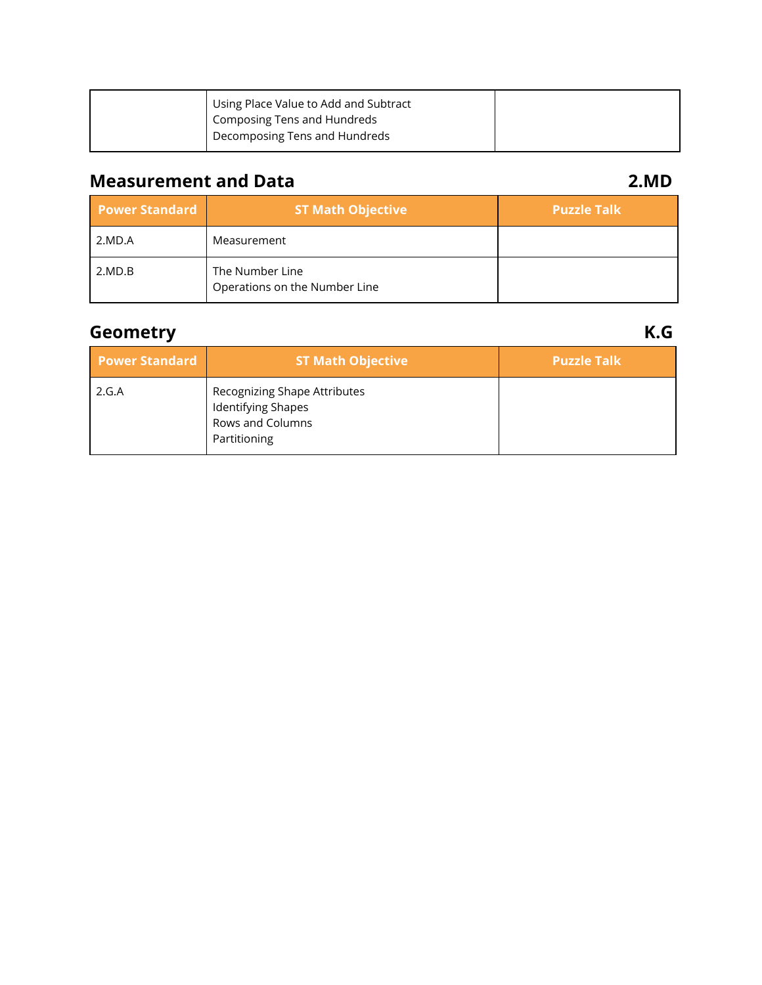| Using Place Value to Add and Subtract |  |
|---------------------------------------|--|
| Composing Tens and Hundreds           |  |
| Decomposing Tens and Hundreds         |  |

### **Measurement and Data 2.MD**

| <b>Power Standard</b> | <b>ST Math Objective</b>                         | <b>Puzzle Talk</b> |
|-----------------------|--------------------------------------------------|--------------------|
| 2.MD.A                | Measurement                                      |                    |
| 2.MD.B                | The Number Line<br>Operations on the Number Line |                    |

## **Geometry K.G**

| <b>Power Standard</b> | <b>ST Math Objective</b>                                                               | <b>Puzzle Talk</b> |
|-----------------------|----------------------------------------------------------------------------------------|--------------------|
| 2.G.A                 | Recognizing Shape Attributes<br>Identifying Shapes<br>Rows and Columns<br>Partitioning |                    |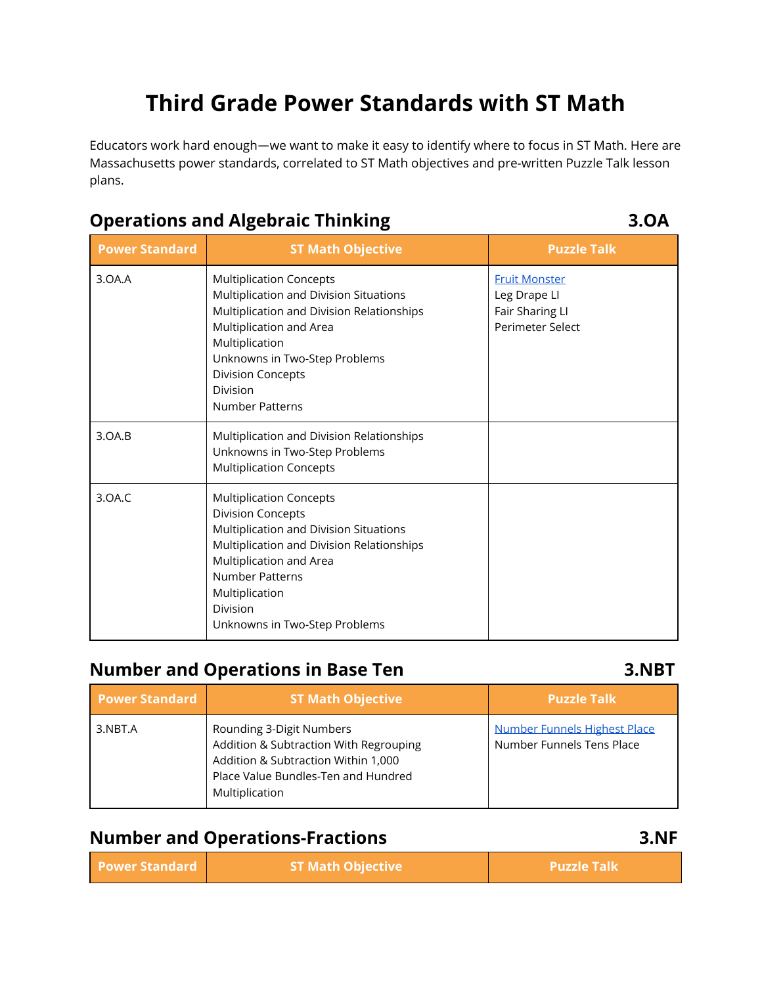# **Third Grade Power Standards with ST Math**

Educators work hard enough—we want to make it easy to identify where to focus in ST Math. Here are Massachusetts power standards, correlated to ST Math objectives and pre-written Puzzle Talk lesson plans.

#### **Power Standard ST Math Objective Puzzle Talk** 3.OA.A Multiplication Concepts Multiplication and Division Situations Multiplication and Division Relationships Multiplication and Area Multiplication Unknowns in Two-Step Problems Division Concepts Division Number Patterns [Fruit Monster](https://web.stmath.com/central/content/resources/pdfs/printables/puzzle_talks/3_mult_div_fm.pdf) Leg Drape LI Fair Sharing LI Perimeter Select 3.OA.B Multiplication and Division Relationships Unknowns in Two-Step Problems Multiplication Concepts 3.OA.C Multiplication Concepts Division Concepts Multiplication and Division Situations Multiplication and Division Relationships Multiplication and Area Number Patterns Multiplication Division Unknowns in Two-Step Problems

### **Number and Operations in Base Ten 3.NBT**

| <b>Power Standard</b> | <b>ST Math Objective</b>                                                                                                                                           | <b>Puzzle Talk</b>                                        |
|-----------------------|--------------------------------------------------------------------------------------------------------------------------------------------------------------------|-----------------------------------------------------------|
| 3.NBT.A               | Rounding 3-Digit Numbers<br>Addition & Subtraction With Regrouping<br>Addition & Subtraction Within 1,000<br>Place Value Bundles-Ten and Hundred<br>Multiplication | Number Funnels Highest Place<br>Number Funnels Tens Place |

### **Number and Operations-Fractions 3.NF**

| <b>Power Standard</b> | <b>ST Math Objective</b> | <b>Puzzle Talk</b> |
|-----------------------|--------------------------|--------------------|
|-----------------------|--------------------------|--------------------|

## **Operations and Algebraic Thinking 3.OA**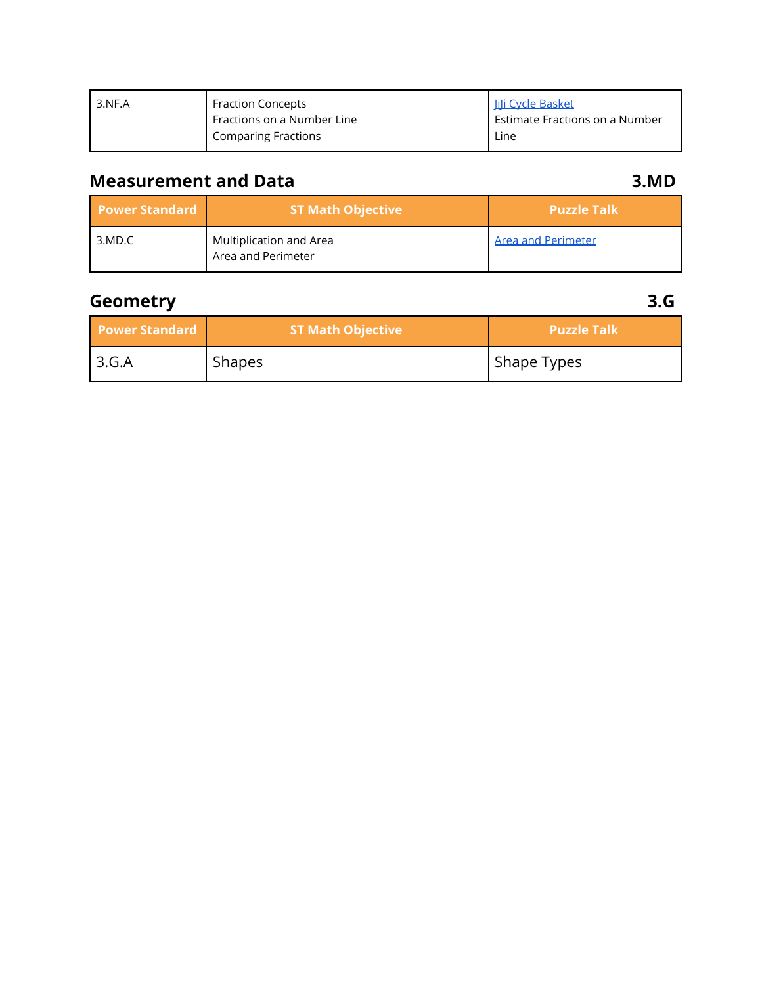| 3.NF.A | <b>Fraction Concepts</b>   | JiJi Cycle Basket              |
|--------|----------------------------|--------------------------------|
|        | Fractions on a Number Line | Estimate Fractions on a Number |
|        | <b>Comparing Fractions</b> | Line                           |

## **Measurement and Data 3.MD**

| <b>Power Standard</b> | <b>ST Math Objective</b>                      | <b>Puzzle Talk</b>        |
|-----------------------|-----------------------------------------------|---------------------------|
| 3.MD.C                | Multiplication and Area<br>Area and Perimeter | <b>Area and Perimeter</b> |

## **Geometry 3.G**

| <b>Power Standard</b> | <b>ST Math Objective</b> | <b>Puzzle Talk</b> |
|-----------------------|--------------------------|--------------------|
| 3.G.A                 | Shapes                   | Shape Types        |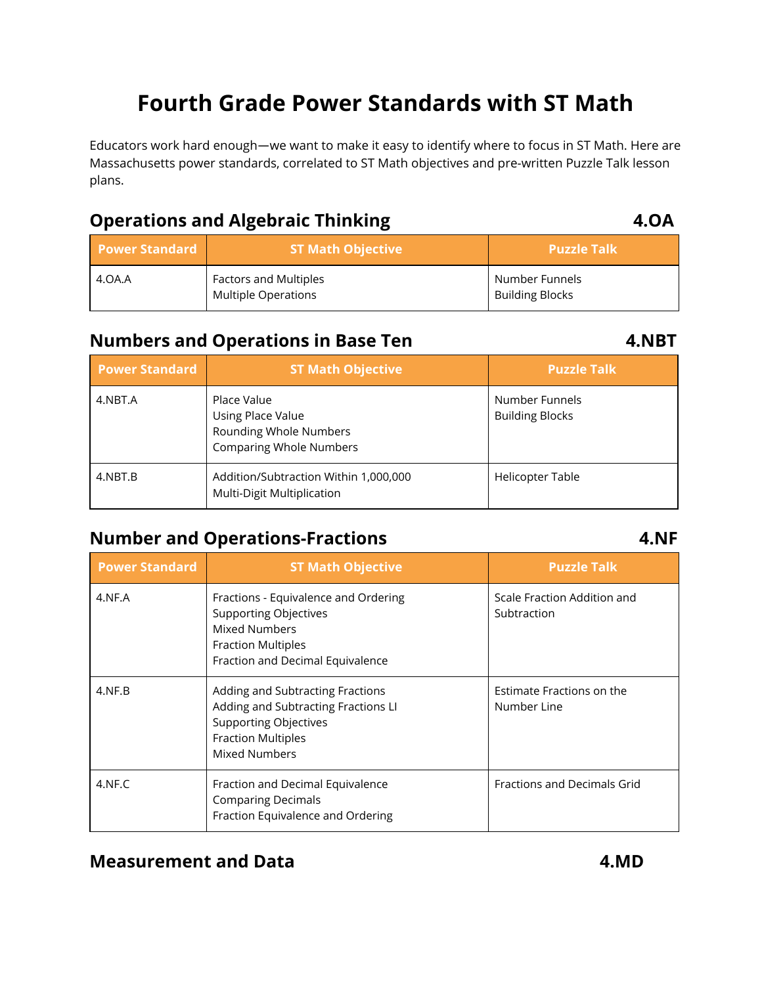# **Fourth Grade Power Standards with ST Math**

Educators work hard enough—we want to make it easy to identify where to focus in ST Math. Here are Massachusetts power standards, correlated to ST Math objectives and pre-written Puzzle Talk lesson plans.

### **Operations and Algebraic Thinking 4.OA**

| <b>Power Standard</b> | <b>ST Math Objective</b>                                   | <b>Puzzle Talk</b>                       |
|-----------------------|------------------------------------------------------------|------------------------------------------|
| 4.OA.A                | <b>Factors and Multiples</b><br><b>Multiple Operations</b> | Number Funnels<br><b>Building Blocks</b> |

#### **Numbers and Operations in Base Ten 4.NBT**

| <b>Power Standard</b> | <b>ST Math Objective</b>                                                                     | <b>Puzzle Talk</b>                       |
|-----------------------|----------------------------------------------------------------------------------------------|------------------------------------------|
| 4.NBT.A               | Place Value<br>Using Place Value<br>Rounding Whole Numbers<br><b>Comparing Whole Numbers</b> | Number Funnels<br><b>Building Blocks</b> |
| 4.NBT.B               | Addition/Subtraction Within 1,000,000<br>Multi-Digit Multiplication                          | <b>Helicopter Table</b>                  |

## **Number and Operations-Fractions 4.NF**

| <b>Power Standard</b> | <b>ST Math Objective</b>                                                                                                                                      | <b>Puzzle Talk</b>                         |
|-----------------------|---------------------------------------------------------------------------------------------------------------------------------------------------------------|--------------------------------------------|
| 4.NF.A                | Fractions - Equivalence and Ordering<br><b>Supporting Objectives</b><br><b>Mixed Numbers</b><br><b>Fraction Multiples</b><br>Fraction and Decimal Equivalence | Scale Fraction Addition and<br>Subtraction |
| 4.NF.B                | Adding and Subtracting Fractions<br>Adding and Subtracting Fractions LI<br><b>Supporting Objectives</b><br><b>Fraction Multiples</b><br><b>Mixed Numbers</b>  | Estimate Fractions on the<br>Number Line   |
| 4.NF.C                | Fraction and Decimal Equivalence<br><b>Comparing Decimals</b><br>Fraction Equivalence and Ordering                                                            | Fractions and Decimals Grid                |

### **Measurement and Data 4.MD**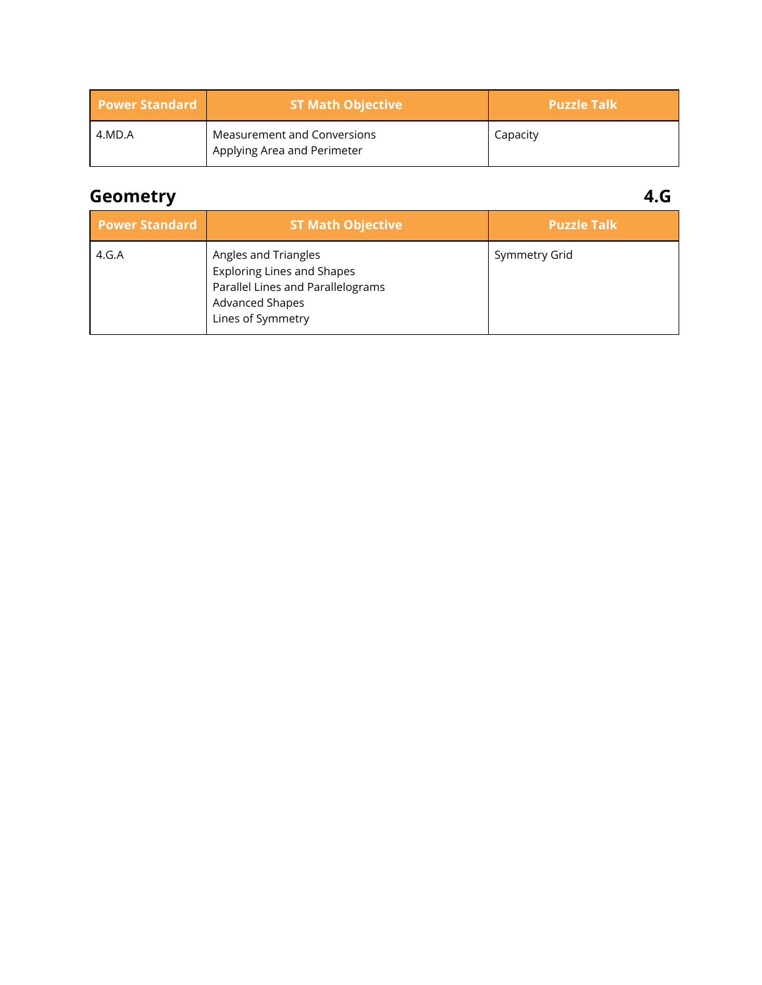| <b>Power Standard</b> | <b>ST Math Objective</b>                                                | <b>Puzzle Talk</b> |
|-----------------------|-------------------------------------------------------------------------|--------------------|
| 4.MD.A                | Measurement and Conversions<br><sup>I</sup> Applying Area and Perimeter | Capacity           |

## **Geometry 4.G**

| <b>Power Standard</b> | <b>ST Math Objective</b>                                                                                                                      | <b>Puzzle Talk</b> |
|-----------------------|-----------------------------------------------------------------------------------------------------------------------------------------------|--------------------|
| 4.G.A                 | Angles and Triangles<br><b>Exploring Lines and Shapes</b><br>Parallel Lines and Parallelograms<br><b>Advanced Shapes</b><br>Lines of Symmetry | Symmetry Grid      |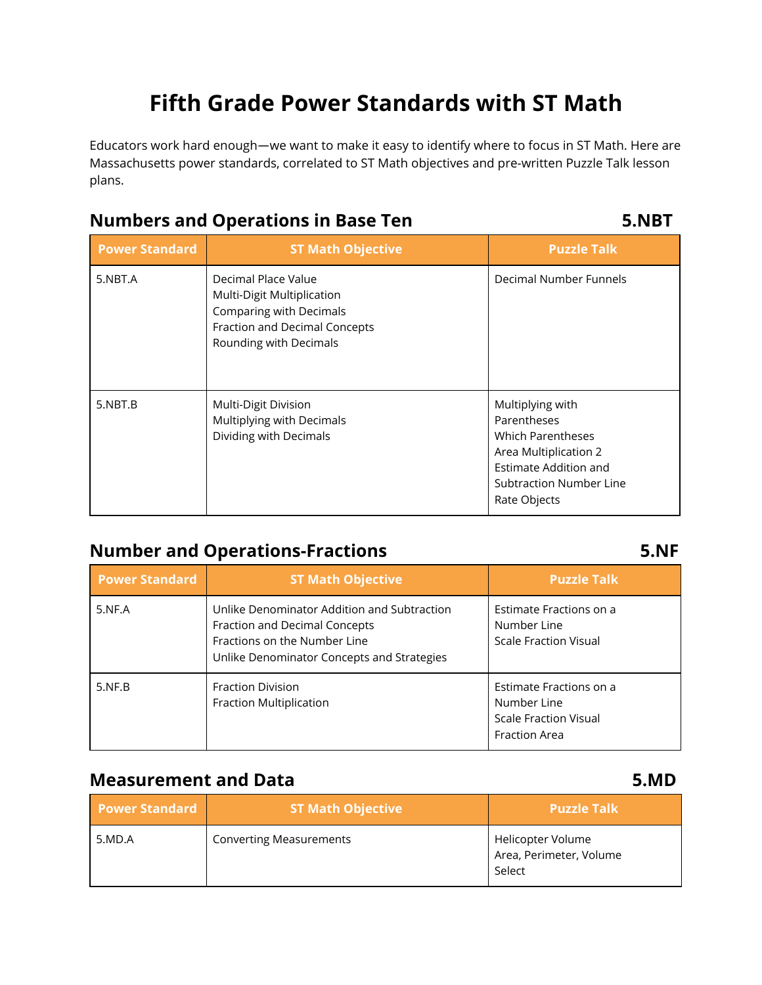# **Fifth Grade Power Standards with ST Math**

Educators work hard enough—we want to make it easy to identify where to focus in ST Math. Here are Massachusetts power standards, correlated to ST Math objectives and pre-written Puzzle Talk lesson plans.

#### **Numbers and Operations in Base Ten 5.NBT**

| <b>Power Standard</b> | <b>ST Math Objective</b>                                                                                                                | <b>Puzzle Talk</b>                                                                                                                                              |
|-----------------------|-----------------------------------------------------------------------------------------------------------------------------------------|-----------------------------------------------------------------------------------------------------------------------------------------------------------------|
| 5.NBT.A               | Decimal Place Value<br>Multi-Digit Multiplication<br>Comparing with Decimals<br>Fraction and Decimal Concepts<br>Rounding with Decimals | Decimal Number Funnels                                                                                                                                          |
| 5.NBT.B               | Multi-Digit Division<br>Multiplying with Decimals<br>Dividing with Decimals                                                             | Multiplying with<br><b>Parentheses</b><br><b>Which Parentheses</b><br>Area Multiplication 2<br>Estimate Addition and<br>Subtraction Number Line<br>Rate Objects |

## **Number and Operations-Fractions 5.NF**

| <b>Power Standard</b> | <b>ST Math Objective</b>                                                                                                                                   | <b>Puzzle Talk</b>                                                                             |
|-----------------------|------------------------------------------------------------------------------------------------------------------------------------------------------------|------------------------------------------------------------------------------------------------|
| 5.NF.A                | Unlike Denominator Addition and Subtraction<br>Fraction and Decimal Concepts<br>Fractions on the Number Line<br>Unlike Denominator Concepts and Strategies | Estimate Fractions on a<br>Number Line<br><b>Scale Fraction Visual</b>                         |
| 5.NF.B                | <b>Fraction Division</b><br>Fraction Multiplication                                                                                                        | Estimate Fractions on a<br>Number Line<br><b>Scale Fraction Visual</b><br><b>Fraction Area</b> |

### **Measurement and Data 5.MD**

| <b>Power Standard</b> | <b>ST Math Objective</b>       | Puzzle Talk                                            |
|-----------------------|--------------------------------|--------------------------------------------------------|
| 5.MD.A                | <b>Converting Measurements</b> | Helicopter Volume<br>Area, Perimeter, Volume<br>Select |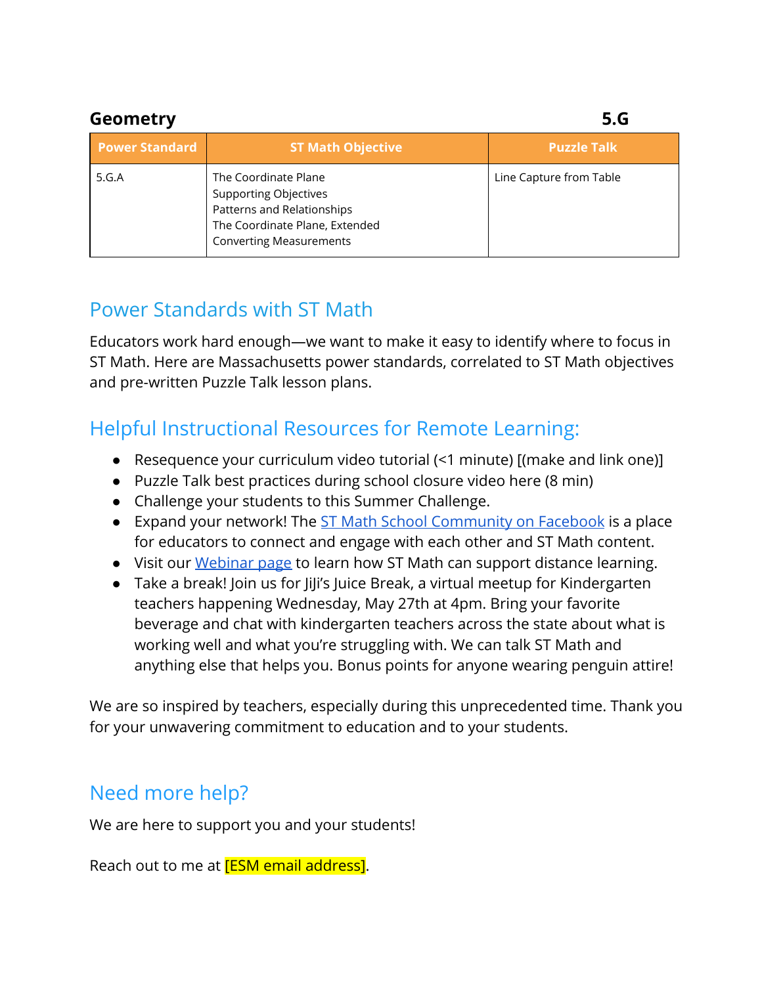| Geometry              |                                                                                                                                                        | 5.G                     |
|-----------------------|--------------------------------------------------------------------------------------------------------------------------------------------------------|-------------------------|
| <b>Power Standard</b> | <b>ST Math Objective</b>                                                                                                                               | <b>Puzzle Talk</b>      |
| 5.G.A                 | The Coordinate Plane<br><b>Supporting Objectives</b><br>Patterns and Relationships<br>The Coordinate Plane, Extended<br><b>Converting Measurements</b> | Line Capture from Table |

## Power Standards with ST Math

Educators work hard enough—we want to make it easy to identify where to focus in ST Math. Here are Massachusetts power standards, correlated to ST Math objectives and pre-written Puzzle Talk lesson plans.

## Helpful Instructional Resources for Remote Learning:

- Resequence your curriculum video tutorial (<1 minute) [(make and link one)]
- Puzzle Talk best practices during school closure video here (8 min)
- Challenge your students to this Summer Challenge.
- Expand your network! The [ST Math School Community on Facebook](https://www.facebook.com/groups/stmath/) is a place for educators to connect and engage with each other and ST Math content.
- Visit our [Webinar page](https://www.stmath.com/webinars) to learn how ST Math can support distance learning.
- Take a break! Join us for JiJi's Juice Break, a virtual meetup for Kindergarten teachers happening Wednesday, May 27th at 4pm. Bring your favorite beverage and chat with kindergarten teachers across the state about what is working well and what you're struggling with. We can talk ST Math and anything else that helps you. Bonus points for anyone wearing penguin attire!

We are so inspired by teachers, especially during this unprecedented time. Thank you for your unwavering commitment to education and to your students.

## Need more help?

We are here to support you and your students!

Reach out to me at **[ESM email address]**.